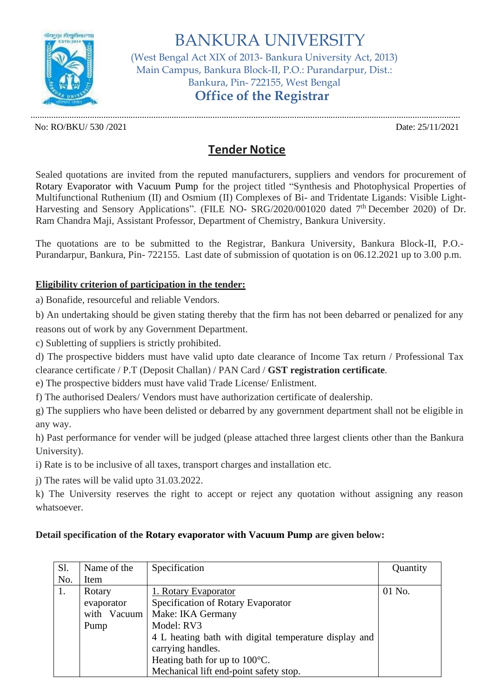

BANKURA UNIVERSITY (West Bengal Act XIX of 2013- Bankura University Act, 2013) Main Campus, Bankura Block-II, P.O.: Purandarpur, Dist.: Bankura, Pin- 722155, West Bengal **Office of the Registrar**

No: RO/BKU/ 530 /2021 Date: 25/11/2021

.............................................................................................................................................................................................

## **Tender Notice**

Sealed quotations are invited from the reputed manufacturers, suppliers and vendors for procurement of Rotary Evaporator with Vacuum Pump for the project titled "Synthesis and Photophysical Properties of Multifunctional Ruthenium (II) and Osmium (II) Complexes of Bi- and Tridentate Ligands: Visible Light-Harvesting and Sensory Applications". (FILE NO- SRG/2020/001020 dated 7<sup>th</sup> December 2020) of Dr. Ram Chandra Maji, Assistant Professor, Department of Chemistry, Bankura University.

The quotations are to be submitted to the Registrar, Bankura University, Bankura Block-II, P.O.- Purandarpur, Bankura, Pin- 722155. Last date of submission of quotation is on 06.12.2021 up to 3.00 p.m.

## **Eligibility criterion of participation in the tender:**

a) Bonafide, resourceful and reliable Vendors.

b) An undertaking should be given stating thereby that the firm has not been debarred or penalized for any

reasons out of work by any Government Department.

c) Subletting of suppliers is strictly prohibited.

d) The prospective bidders must have valid upto date clearance of Income Tax return / Professional Tax clearance certificate / P.T (Deposit Challan) / PAN Card / **GST registration certificate**.

e) The prospective bidders must have valid Trade License/ Enlistment.

f) The authorised Dealers/ Vendors must have authorization certificate of dealership.

g) The suppliers who have been delisted or debarred by any government department shall not be eligible in any way.

h) Past performance for vender will be judged (please attached three largest clients other than the Bankura University).

i) Rate is to be inclusive of all taxes, transport charges and installation etc.

j) The rates will be valid upto 31.03.2022.

k) The University reserves the right to accept or reject any quotation without assigning any reason whatsoever.

## **Detail specification of the Rotary evaporator with Vacuum Pump are given below:**

| Sl. | Name of the | Specification                                         | Quantity |
|-----|-------------|-------------------------------------------------------|----------|
| No. | Item        |                                                       |          |
| 1.  | Rotary      | 1. Rotary Evaporator                                  | 01 No.   |
|     | evaporator  | Specification of Rotary Evaporator                    |          |
|     | with Vacuum | Make: IKA Germany                                     |          |
|     | Pump        | Model: RV3                                            |          |
|     |             | 4 L heating bath with digital temperature display and |          |
|     |             | carrying handles.                                     |          |
|     |             | Heating bath for up to $100^{\circ}$ C.               |          |
|     |             | Mechanical lift end-point safety stop.                |          |